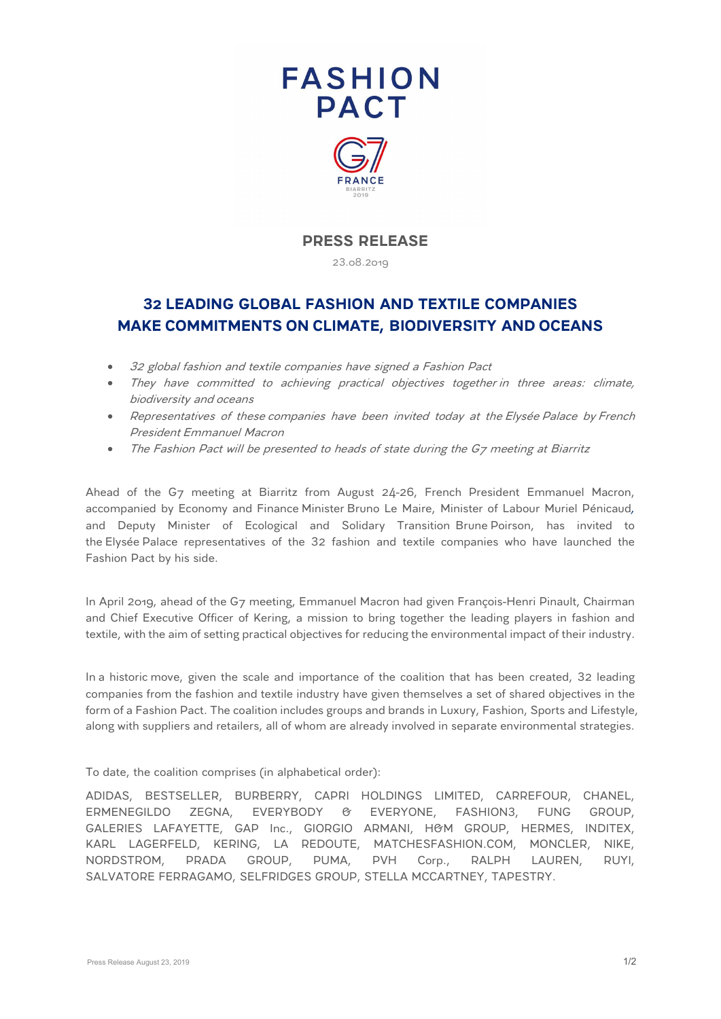



## **PRESS RELEASE**

23.08.2019

## **32 LEADING GLOBAL FASHION AND TEXTILE COMPANIES MAKE COMMITMENTS ON CLIMATE, BIODIVERSITY AND OCEANS**

- 32 global fashion and textile companies have signed a Fashion Pact
- They have committed to achieving practical objectives together in three areas: climate, biodiversity and oceans
- Representatives of these companies have been invited today at the Elysée Palace by French President Emmanuel Macron
- The Fashion Pact will be presented to heads of state during the G7 meeting at Biarritz

Ahead of the G7 meeting at Biarritz from August 24-26, French President Emmanuel Macron, accompanied by Economy and Finance Minister Bruno Le Maire, Minister of Labour Muriel Pénicaud*,* and Deputy Minister of Ecological and Solidary Transition Brune Poirson, has invited to the Elysée Palace representatives of the 32 fashion and textile companies who have launched the Fashion Pact by his side.

In April 2019, ahead of the G7 meeting, Emmanuel Macron had given François-Henri Pinault, Chairman and Chief Executive Officer of Kering, a mission to bring together the leading players in fashion and textile, with the aim of setting practical objectives for reducing the environmental impact of their industry.

In a historic move, given the scale and importance of the coalition that has been created, 32 leading companies from the fashion and textile industry have given themselves a set of shared objectives in the form of a Fashion Pact. The coalition includes groups and brands in Luxury, Fashion, Sports and Lifestyle, along with suppliers and retailers, all of whom are already involved in separate environmental strategies.

To date, the coalition comprises (in alphabetical order):

ADIDAS, BESTSELLER, BURBERRY, CAPRI HOLDINGS LIMITED, CARREFOUR, CHANEL, ERMENEGILDO ZEGNA, EVERYBODY & EVERYONE, FASHION3, FUNG GROUP, GALERIES LAFAYETTE, GAP Inc., GIORGIO ARMANI, H&M GROUP, HERMES, INDITEX, KARL LAGERFELD, KERING, LA REDOUTE, MATCHESFASHION.COM, MONCLER, NIKE, NORDSTROM, PRADA GROUP, PUMA, PVH Corp., RALPH LAUREN, RUYI, SALVATORE FERRAGAMO, SELFRIDGES GROUP, STELLA MCCARTNEY, TAPESTRY.